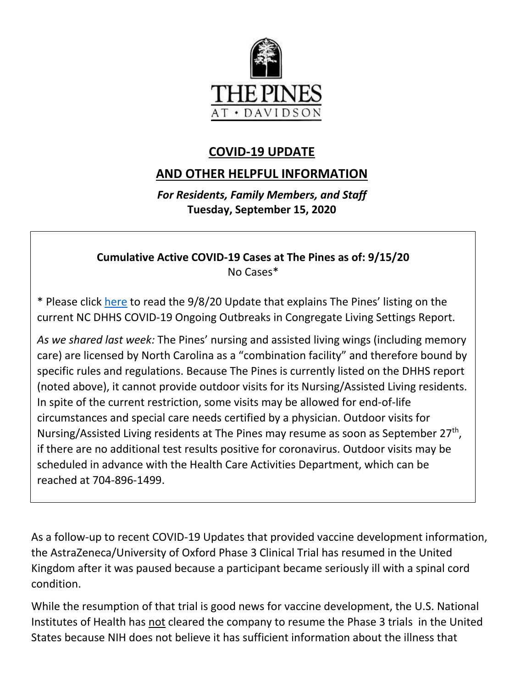

# **COVID-19 UPDATE**

# **AND OTHER HELPFUL INFORMATION**

*For Residents, Family Members, and Staff* **Tuesday, September 15, 2020**

## **Cumulative Active COVID-19 Cases at The Pines as of: 9/15/20** No Cases\*

\* Please click [here](https://www.mycommunity-center.com/filephotos/463/COVID-19%20Update%209-8-2020.pdf) to read the 9/8/20 Update that explains The Pines' listing on the current NC DHHS COVID-19 Ongoing Outbreaks in Congregate Living Settings Report.

*As we shared last week:* The Pines' nursing and assisted living wings (including memory care) are licensed by North Carolina as a "combination facility" and therefore bound by specific rules and regulations. Because The Pines is currently listed on the DHHS report (noted above), it cannot provide outdoor visits for its Nursing/Assisted Living residents. In spite of the current restriction, some visits may be allowed for end-of-life circumstances and special care needs certified by a physician. Outdoor visits for Nursing/Assisted Living residents at The Pines may resume as soon as September 27<sup>th</sup>, if there are no additional test results positive for coronavirus. Outdoor visits may be scheduled in advance with the Health Care Activities Department, which can be reached at 704-896-1499.

As a follow-up to recent COVID-19 Updates that provided vaccine development information, the AstraZeneca/University of Oxford Phase 3 Clinical Trial has resumed in the United Kingdom after it was paused because a participant became seriously ill with a spinal cord condition.

While the resumption of that trial is good news for vaccine development, the U.S. National Institutes of Health has not cleared the company to resume the Phase 3 trials in the United States because NIH does not believe it has sufficient information about the illness that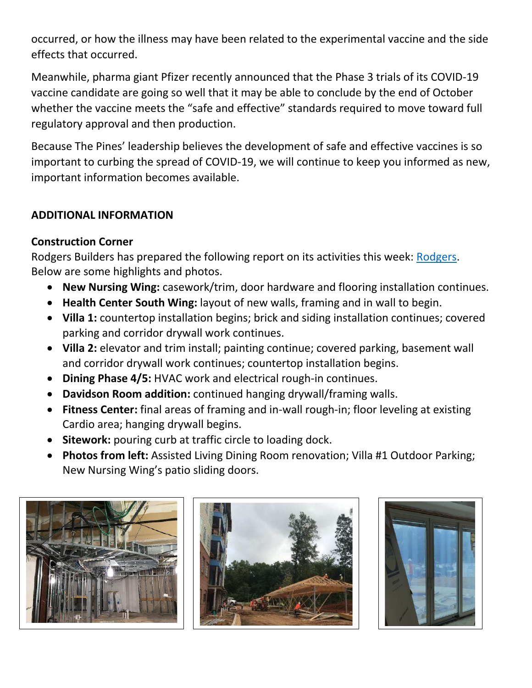occurred, or how the illness may have been related to the experimental vaccine and the side effects that occurred.

Meanwhile, pharma giant Pfizer recently announced that the Phase 3 trials of its COVID-19 vaccine candidate are going so well that it may be able to conclude by the end of October whether the vaccine meets the "safe and effective" standards required to move toward full regulatory approval and then production.

Because The Pines' leadership believes the development of safe and effective vaccines is so important to curbing the spread of COVID-19, we will continue to keep you informed as new, important information becomes available.

## **ADDITIONAL INFORMATION**

## **Construction Corner**

Rodgers Builders has prepared the following report on its activities this week: [Rodgers.](https://www.mycommunity-center.com/filephotos/463/2020-09-11%20Weekly%20Update.pdf) Below are some highlights and photos.

- **New Nursing Wing:** casework/trim, door hardware and flooring installation continues.
- **Health Center South Wing:** layout of new walls, framing and in wall to begin.
- **Villa 1:** countertop installation begins; brick and siding installation continues; covered parking and corridor drywall work continues.
- **Villa 2:** elevator and trim install; painting continue; covered parking, basement wall and corridor drywall work continues; countertop installation begins.
- **Dining Phase 4/5:** HVAC work and electrical rough-in continues.
- **Davidson Room addition:** continued hanging drywall/framing walls.
- **Fitness Center:** final areas of framing and in-wall rough-in; floor leveling at existing Cardio area; hanging drywall begins.
- **Sitework:** pouring curb at traffic circle to loading dock.
- **Photos from left:** Assisted Living Dining Room renovation; Villa #1 Outdoor Parking; New Nursing Wing's patio sliding doors.